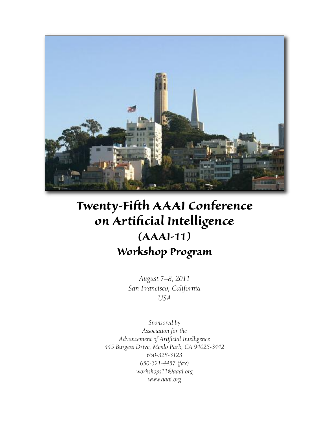

# *Twenty-Fifth AAAI Conference on Artificial Intelligence (AAAI-11) Workshop Program*

*August 7–8, 2011 San Francisco, California USA*

*Sponsored by Association for the Advancement of Artificial Intelligence 445 Burgess Drive, Menlo Park, CA 94025-3442 650-328-3123 650-321-4457 (fax) workshops11@aaai.org www.aaai.org*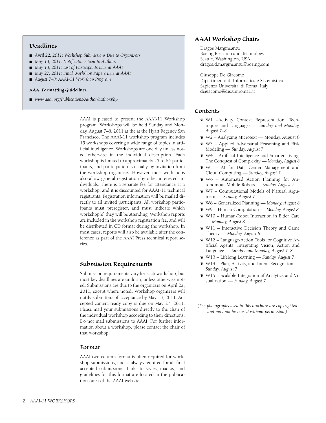# *Deadlines*

- <sup>n</sup> *April 22, 2011: Workshop Submissions Due to Organizers*
- <sup>n</sup> *May 13, 2011: Notifications Sent to Authors*
- <sup>n</sup> *May 13, 2011: List of Participants Due at AAAI*
- <sup>n</sup> *May 27, 2011: Final Workshop Papers Due at AAAI*
- *August 7–8: AAAI-11 Workshop Program*

## *AAAI Formatting Guidelines*

■ www.aaai.org/Publications/Author/author.php

AAAI is pleased to present the AAAI-11 Workshop program. Workshops will be held Sunday and Monday, August 7–8, 2011 at the at the Hyatt Regency San Francisco. The AAAI-11 workshop program includes 15 workshops covering a wide range of topics in artificial intelligence. Workshops are one day unless noted otherwise in the individual description. Each workshop is limited to approximately 25 to 65 participants, and participation is usually by invitation from the workshop organizers. However, most workshops also allow general registration by other interested individuals. There is a separate fee for attendance at a workshop, and it is discounted for AAAI-11 technical registrants. Registration information will be mailed directly to all invited participants. All workshop participants must preregister, and must indicate which workshop(s) they will be attending. Workshop reports are included in the workshop registration fee, and will be distributed in CD format during the workshop. In most cases, reports will also be available after the conference as part of the AAAI Press technical report series.

# *Submission Requirements*

Submission requirements vary for each workshop, but most key deadlines are uniform, unless otherwise noted. Submissions are due to the organizers on April 22, 2011, except where noted. Workshop organizers will notify submitters of acceptance by May 13, 2011. Accepted camera-ready copy is due on May 27, 2011. Please mail your submissions directly to the chair of the individual workshop according to their directions. Do not mail submissions to AAAI. For further information about a workshop, please contact the chair of that workshop.

# *Format*

AAAI two-column format is often required for workshop submissions, and is always required for all final accepted submissions. Links to styles, macros, and guidelines for this format are located in the publications area of the AAAI website

# *AAAI Workshop Chairs*

Dragos Margineantu Boeing Research and Technology Seattle, Washington, USA dragos.d.margineantu@boeing.com

Giuseppe De Giacomo Dipartimento di Informatica e Sistemistica Sapienza Universita' di Roma, Italy degiacomo@dis.uniroma1.it

## *Contents*

- ¶ W1 –Activity Context Representation: Techniques and Languages — *Sunday and Monday, August 7–8*
- ¶ W2 Analyzing Microtext Monday, August 8
- ¶ W3 Applied Adversarial Reasoning and Risk Modeling — *Sunday, August 7*
- ¶ W4 Artificial Intelligence and Smarter Living: The Conquest of Complexity — *Monday, August 8*
- ¶ W5 AI for Data Center Management and Cloud Computing — *Sunday, August 7*
- ¶ W6 Automated Action Planning for Autonomous Mobile Robots — *Sunday, August 7*
- ¶ W7 Computational Models of Natural Argument — *Sunday, August 7*
- ¶ W8 Generalized Planning *Monday, August 8*
- ¶ W9 Human Computation *Monday, August 8*
- ¶ W10 Human-Robot Interaction in Elder Care — *Monday, August 8*
- ¶ W11 Interactive Decision Theory and Game Theory — *Monday, August 8*
- ¶ W12 Language-Action Tools for Cognitive Artificial Agents: Integrating Vision, Action and Language — *Sunday and Monday, August 7–8*
- ¶ W13 Lifelong Learning *Sunday, August 7*
- $\mathbf{W14}$  Plan, Activity, and Intent Recognition *Sunday, August 7*
- ¶ W15 Scalable Integration of Analytics and Visualization — *Sunday, August 7*
- *(The photographs used in this brochure are copyrighted and may not be reused without permission.)*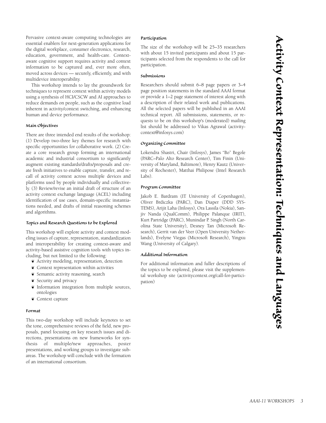Pervasive context-aware computing technologies are essential enablers for next-generation applications for the digital workplace, consumer electronics, research, education, government, and health-care. Contextaware cognitive support requires activity and context information to be captured and, ever more often, moved across devices — securely, efficiently, and with multidevice interoperability.

This workshop intends to lay the groundwork for techniques to represent context within activity models using a synthesis of HCI/CSCW and AI approaches to reduce demands on people, such as the cognitive load inherent in activity/context switching, and enhancing human and device performance.

## *Main Objectives*

There are three intended end results of the workshop: (1) Develop two-three key themes for research with specific opportunities for collaborative work. (2) Create a core research group forming an international academic and industrial consortium to significantly augment existing standards/drafts/proposals and create fresh initiatives to enable capture, transfer, and recall of activity context across multiple devices and platforms used by people individually and collectively. (3) Review/revise an initial draft of structure of an activity context exchange language (ACEL) including identification of use cases, domain-specific instantiations needed, and drafts of initial reasoning schemes and algorithms.

## *Topics and Research Questions to be Explored*

This workshop will explore activity and context modeling issues of capture, representation, standardization and interoperability for creating context-aware and activity-based assistive cognition tools with topics including, but not limited to the following:

- ¶ Activity modeling, representation, detection
- ¶ Context representation within activities
- ¶ Semantic activity reasoning, search
- ¶ Security and privacy
- ¶ Information integration from multiple sources, ontologies
- ¶ Context capture

#### *Format*

This two-day workshop will include keynotes to set the tone, comprehensive reviews of the field, new proposals, panel focusing on key research issues and directions, presentations on new frameworks for synthesis of multiple/new approaches, poster presentations, and working groups to investigate subareas. The workshop will conclude with the formation of an international consortium.

## *Participation*

The size of the workshop will be 25–35 researchers with about 15 invited participants and about 15 participants selected from the respondents to the call for participation.

#### *Submissions*

Researchers should submit 6–8 page papers or 3–4 page position statements in the standard AAAI format or provide a 1–2 page statement of interest along with a description of their related work and publications. All the selected papers will be published in an AAAI technical report. All submissions, statements, or requests to be on this workshop's (moderated) mailing list should be addressed to Vikas Agrawal (activitycontext@infosys.com)

## *Organizing Committee*

Lokendra Shastri, Chair (Infosys), James "Bo" Begole (PARC–Palo Alto Research Center), Tim Finin (University of Maryland, Baltimore), Henry Kautz (University of Rochester), Matthai Philipose (Intel Research Labs).

#### *Program Committee*

Jakob E. Bardram (IT University of Copenhagen), Oliver Brdiczka (PARC), Dan Diaper (DDD SYS-TEMS), Arijit Laha (Infosys), Ora Lassila (Nokia), Sanjiv Nanda (QualComm), Philippe Palanque (IRIT), Kurt Partridge (PARC), Munindar P. Singh (North Carolina State University), Desney Tan (Microsoft Research), Gerrit van der Veer (Open University Netherlands), Evelyne Viegas (Microsoft Research), Yingxu Wang (University of Calgary).

#### *Additional Information*

For additional information and fuller descriptions of the topics to be explored, please visit the supplemental workshop site (activitycontext.org/call-for-participation)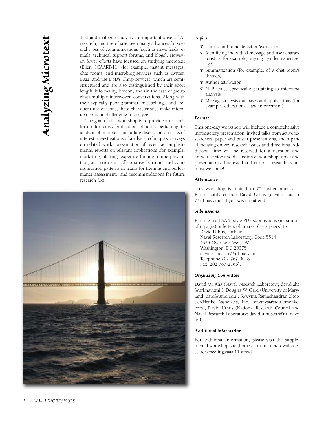Text and dialogue analysis are important areas of AI research, and there have been many advances for several types of communications (such as news feeds, emails, technical support forums, and blogs). However, fewer efforts have focused on studying microtext (Ellen, ICAART-11) (for example, instant messages, chat rooms, and microblog services such as Twitter, Buzz, and the DoD's Chirp service), which are semistructured and are also distinguished by their short length, informality, lexicon, and (in the case of group chat) multiple interwoven conversations. Along with their typically poor grammar, misspellings, and frequent use of icons, these characteristics make microtext content challenging to analyze.

The goal of this workshop is to provide a research forum for cross-fertilization of ideas pertaining to analysis of microtext, including discussion on tasks of interest, investigations of analysis techniques, surveys on related work, presentation of recent accomplishments, reports on relevant applications (for example, marketing, alerting, expertise finding, crime prevention, antiterrorism, collaborative learning, and communication patterns in teams for training and performance assessment), and recommendations for future research foci.



## *Topics*

- ¶ Thread and topic detection/extraction
- ¶ Identifying individual message and user characteristics (for example, urgency, gender, expertise, age)
- ¶ Summarization (for example, of a chat room's threads)
- ¶ Author attribution
- ¶ NLP issues specifically pertaining to microtext analysis
- ¶ Message analysis databases and applications (for example, educational, law enforcement)

#### *Format*

This one-day workshop will include a comprehensive introductory presentation, invited talks from active researchers, paper and poster presentations, and a panel focusing on key research issues and directions. Additional time will be reserved for a question and answer session and discussion of workshop topics and presentations. Interested and curious researchers are most welcome!

## *Attendance*

This workshop is limited to 75 invited attendees. Please notify cochair David Uthus (david.uthus.ctr @nrl.navy.mil) if you wish to attend.

#### *Submissions*

Please e-mail AAAI style PDF submissions (maximum of 6 pages) or letters of interest  $(1 - 2$  pages) to:

David Uthus, cochair Naval Research Laboratory, Code 5514 4555 Overlook Ave., SW Washington, DC 20375 david.uthus.ctr@nrl.navy.mil Telephone:202 767-0018 Fax: 202 767-2166).

## *Organizing Committee*

David W. Aha (Naval Research Laboratory, david.aha @nrl.navy.mil), Douglas W. Oard (University of Maryland, oard@umd.edu), Sowyma Ramachandran (Stottler-Henke Associates, Inc., sowmya@stottlerhenke. com), David Uthus (National Research Council and Naval Research Laboratory; david.uthus.ctr@nrl.navy. mil)

# *Additional Information*

For additional information, please visit the supplemental workshop site (home.earthlink.net/~dwaha/research/meetings/aaai11-amw)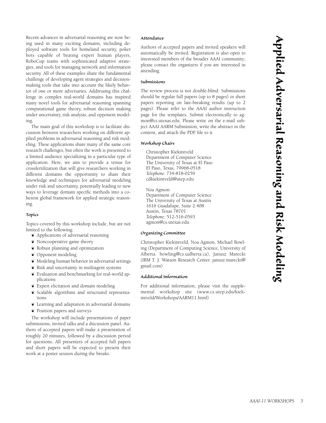Recent advances in adversarial reasoning are now being used in many exciting domains, including deployed software tools for homeland security, poker bots capable of beating expert human players, RoboCup teams with sophisticated adaptive strategies, and tools for managing network and information security. All of these examples share the fundamental challenge of developing agent strategies and decisionmaking tools that take into account the likely behavior of one or more adversaries. Addressing this challenge in complex real-world domains has inspired many novel tools for adversarial reasoning spanning computational game theory, robust decision making under uncertainty, risk analysis, and opponent modeling.

The main goal of this workshop is to facilitate discussion between researchers working on different applied problems in adversarial reasoning and risk modeling. These applications share many of the same core research challenges, but often the work is presented to a limited audience specializing in a particular type of application. Here, we aim to provide a venue for crossfertilization that will give researchers working in different domains the opportunity to share their knowledge and techniques for adversarial modeling under risk and uncertainty, potentially leading to new ways to leverage domain specific methods into a coherent global framework for applied strategic reasoning.

## *Topics*

Topics covered by this workshop include, but are not limited to the following:

- ¶ Applications of adversarial reasoning
- ¶ Noncooperative game theory
- ¶ Robust planning and optimization
- ¶ Opponent modeling
- ¶ Modeling human behavior in adversarial settings
- ¶ Risk and uncertainty in multiagent systems
- ¶ Evaluation and benchmarking for real-world applications
- ¶ Expert elicitation and domain modeling
- ¶ Scalable algorithms and structured representations
- ¶ Learning and adaptation in adversarial domains
- ¶ Position papers and surveys

The workshop will include presentations of paper submissions, invited talks and a discussion panel. Authors of accepted papers will make a presentation of roughly 20 minutes, followed by a discussion period for questions. All presenters of accepted full papers and short papers will be expected to present their work at a poster session during the breaks.

#### *Attendance*

Authors of accepted papers and invited speakers will automatically be invited. Registration is also open to interested members of the broader AAAI community; please contact the organizers if you are interested in attending.

## *Submissions*

The review process is not double-blind. Submissions should be regular full papers (up to 8 pages) or short papers reporting on late-breaking results (up to 2 pages). Please refer to the AAAI author instruction page for the templates. Submit electronically to agmon@cs.utexas.edu. Please write on the e-mail subject AAAI AARM Submission, write the abstract in the content, and attach the PDF file to it.

## *Workshop Chairs*

Christopher Kiekintveld Department of Computer Science The University of Texas at El Paso El Paso, Texas, 79968-0518 *Telephone:* 734-818-0259 cdkiekintveld@utep.edu

Noa Agmon

Department of Computer Science The University of Texas at Austin 1616 Guadalupe, Suite 2.408 Austin, Texas 78701 *Telephone:* 512-516-0593 agmon@cs.utexas.edu

## *Organizing Committee*

Christopher Kiekintveld, Noa Agmon, Michael Bowling (Department of Computing Science, University of Alberta. bowling@cs.ualberta.ca), Janusz Marecki (IBM T. J. Watson Research Center. janusz.marecki@ gmail.com)

## *Additional Information*

For additional information, please visit the supplemental workshop site (www.cs.utep.edu/kiekintveld/Workshops/AARM11.html)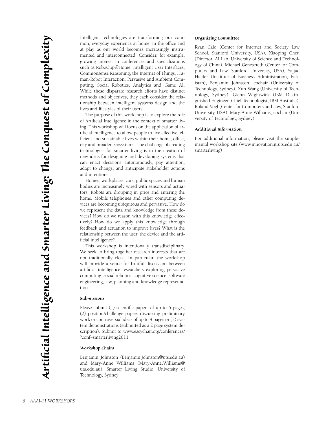Intelligent technologies are transforming our common, everyday experience at home, in the office and at play as our world becomes increasingly instrumented and interconnected. Consider, for example, growing interest in conferences and specializations such as RoboCup@Home, Intelligent User Interfaces, Commonsense Reasoning, the Internet of Things, Human-Robot Interaction, Pervasive and Ambient Computing, Social Robotics, Analytics and Game AI. While these disparate research efforts have distinct methods and objectives, they each consider the relationship between intelligent systems design and the lives and lifestyles of their users.

The purpose of this workshop is to explore the role of Artificial Intelligence in the context of smarter living. This workshop will focus on the application of artificial intelligence to allow people to live effective, efficient and sustainable lives within their home, office, city and broader ecosystems. The challenge of creating technologies for smarter living is in the creation of new ideas for designing and developing systems that can enact decisions autonomously, pay attention, adapt to change, and anticipate stakeholder actions and intentions.

Homes, workplaces, cars, public spaces and human bodies are increasingly wired with sensors and actuators. Robots are dropping in price and entering the home. Mobile telephones and other computing devices are becoming ubiquitous and pervasive. How do we represent the data and knowledge from these devices? How do we reason with this knowledge effectively? How do we apply this knowledge through feedback and actuation to improve lives? What is the relationship between the user, the device and the artificial intelligence?

This workshop is intentionally transdisciplinary. We seek to bring together research interests that are not traditionally close. In particular, the workshop will provide a venue for fruitful discussion between artificial intelligence researchers exploring pervasive computing, social robotics, cognitive science, software engineering, law, planning and knowledge representation.

## *Submissions*

Please submit (1) scientific papers of up to 6 pages, (2) position/challenge papers discussing preliminary work or controversial ideas of up to 4 pages or (3) system demonstrations (submitted as a 2 page system description). Submit to www.easychair.org/conferences/ ?conf=smarterliving2011

## *Workshop Chairs*

Benjamin Johnston (Benjamin.Johnston@uts.edu.au) and Mary-Anne Williams (Mary-Anne.Williams@ uts.edu.au), Smarter Living Studio, University of Technology, Sydney

## *Organizing Committee*

Ryan Calo (Center for Internet and Society Law School, Stanford University, USA), Xiaoping Chen (Director, AI Lab, University of Science and Technology of China), Michael Genesereth (Center for Computers and Law, Stanford University, USA), Sajjad Haider (Institute of Business Administration, Pakistan), Benjamin Johnston, cochair (University of Technology, Sydney), Xun Wang (University of Technology, Sydney), Glenn Wightwick (IBM Distinguished Engineer, Chief Technologist, IBM Australia), Roland Vogl (Center for Computers and Law, Stanford University, USA), Mary-Anne Williams, cochair (University of Technology, Sydney)

### *Additional Information*

For additional information, please visit the supplemental workshop site (www.innovation.it.uts.edu.au/ smarterliving)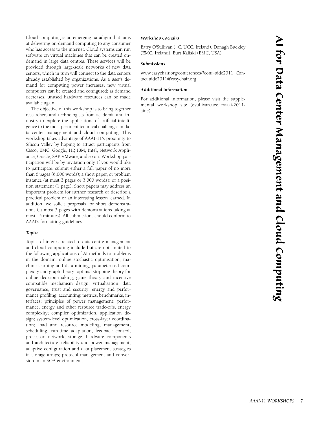Cloud computing is an emerging paradigm that aims at delivering on-demand computing to any consumer who has access to the internet. Cloud systems can run software on virtual machines that can be created ondemand in large data centres. These services will be provided through large-scale networks of new data centers, which in turn will connect to the data centers already established by organizations. As a user's demand for computing power increases, new virtual computers can be created and configured; as demand decreases, unused hardware resources can be made available again.

The objective of this workshop is to bring together researchers and technologists from academia and industry to explore the applications of artificial intelligence to the most pertinent technical challenges in data center management and cloud computing. This workshop takes advantage of AAAI-11's proximity to Silicon Valley by hoping to attract participants from Cisco, EMC, Google, HP, IBM, Intel, Network Appliance, Oracle, SAP, VMware, and so on. Workshop participation will be by invitation only. If you would like to participate, submit either a full paper of no more than 6 pages (6,000 words); a short paper, or problem instance (at most 3 pages or 3,000 words); or a position statement (1 page). Short papers may address an important problem for further research or describe a practical problem or an interesting lesson learned. In addition, we solicit proposals for short demonstrations (at most 3 pages with demonstrations taking at most 15 minutes). All submissions should conform to AAAI's formatting guidelines.

## *Topics*

Topics of interest related to data centre management and cloud computing include but are not limited to the following applications of AI methods to problems in the domain: online stochastic optimisation; machine learning and data mining; parameterised complexity and graph theory; optimal stopping theory for online decision-making; game theory and incentive compatible mechanism design; virtualisation; data governance, trust and security; energy and performance profiling, accounting; metrics, benchmarks, interfaces; principles of power management; performance, energy and other resource trade-offs, energy complexity; compiler optimization, application design; system-level optimization, cross-layer coordination; load and resource modeling, management; scheduling, run-time adaptation, feedback control; processor, network, storage, hardware components and architecture; reliability and power management; adaptive configuration and data placement strategies in storage arrays; protocol management and conversion in an SOA environment.

## *Workshop Cochairs*

Barry O'Sullivan (4C, UCC, Ireland), Donagh Buckley (EMC, Ireland), Burt Kaliski (EMC, USA)

#### *Submissions*

www.easychair.org/conferences/?conf=aidc2011 Contact aidc2011@easychair.org

## *Additional Information*

For additional information, please visit the supplemental workshop site (osullivan.ucc.ie/aaai-2011 aidc)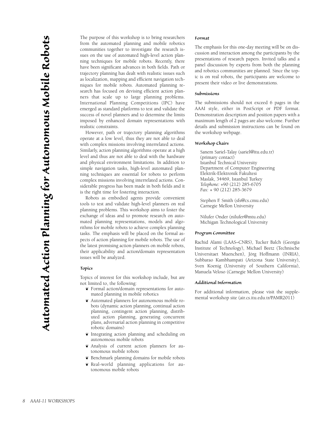The purpose of this workshop is to bring researchers from the automated planning and mobile robotics communities together to investigate the research issues on the use of automated high-level action planning techniques for mobile robots. Recently, there have been significant advances in both fields. Path or trajectory planning has dealt with realistic issues such as localization, mapping and efficient navigation techniques for mobile robots. Automated planning research has focused on devising efficient action planners that scale up to large planning problems. International Planning Competitions (IPC) have emerged as standard platforms to test and validate the success of novel planners and to determine the limits imposed by enhanced domain representations with realistic constraints.

However, path or trajectory planning algorithms operate at a low level, thus they are not able to deal with complex missions involving interrelated actions. Similarly, action planning algorithms operate at a high level and thus are not able to deal with the hardware and physical environment limitations. In addition to simple navigation tasks, high-level automated planning techniques are essential for robots to perform complex missions involving interrelated actions. Considerable progress has been made in both fields and it is the right time for fostering interaction.

Robots as embodied agents provide convenient tools to test and validate high-level planners on real planning problems. This workshop aims to foster the exchange of ideas and to promote research on automated planning representations, models and algorithms for mobile robots to achieve complex planning tasks. The emphasis will be placed on the formal aspects of action planning for mobile robots. The use of the latest promising action planners on mobile robots, their applicability and action/domain representation issues will be analyzed.

## *Topics*

Topics of interest for this workshop include, but are not limited to, the following:

- ¶ Formal action/domain representations for automated planning in mobile robotics
- ¶ Automated planners for autonomous mobile robots (dynamic action planning, continual action planning, contingent action planning, distributed action planning, generating concurrent plans, adversarial action planning in competitive robotic domains)
- Integrating action planning and scheduling on autonomous mobile robots
- ¶ Analysis of current action planners for autonomous mobile robots
- Benchmark planning domains for mobile robots
- ¶ Real-world planning applications for autonomous mobile robots

#### *Format*

The emphasis for this one-day meeting will be on discussion and interaction among the participants by the presentations of research papers. Invited talks and a panel discussion by experts from both the planning and robotics communities are planned. Since the topic is on real robots, the participants are welcome to present their video or live demonstrations.

#### *Submissions*

The submissions should not exceed 6 pages in the AAAI style, either in PostScript or PDF format. Demonstration description and position papers with a maximum length of 2 pages are also welcome. Further details and submission instructions can be found on the workshop webpage.

## *Workshop Chairs*

Sanem Sariel-Talay (sariel@itu.edu.tr) (primary contact) Istanbul Technical University Department of Computer Engineering Elektrik-Elektronik Fakultesi Maslak, 34469, Istanbul Turkey *Telephone:* +90 (212) 285-6705 *Fax:* + 90 (212) 285-3679

Stephen F. Smith (sfs@cs.cmu.edu) Carnegie Mellon University

Nilufer Onder (nilufer@mtu.edu) Michigan Technological University

#### *Program Committee*

Rachid Alami (LAAS–CNRS), Tucker Balch (Georgia Institute of Technology), Michael Beetz (Technische Universitaet Muenchen), Jörg Hoffmann (INRIA), Subbarao Kambhampati (Arizona State University), Sven Koenig (University of Southern California), Manuela Veloso (Carnegie Mellon University)

#### *Additional Information*

For additional information, please visit the supplemental workshop site (air.cs.itu.edu.tr/PAMR2011)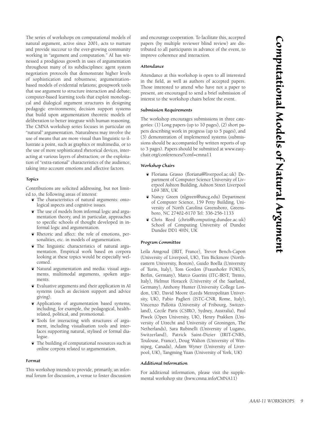The series of workshops on computational models of natural argument, active since 2001, acts to nurture and provide succour to the ever-growing community working in "argument and computation." AI has witnessed a prodigious growth in uses of argumentation throughout many of its subdisciplines: agent system negotiation protocols that demonstrate higher levels of sophistication and robustness; argumentationbased models of evidential relations; groupwork tools that use argument to structure interaction and debate; computer-based learning tools that exploit monological and dialogical argument structures in designing pedagogic environments; decision support systems that build upon argumentation theoretic models of deliberation to better integrate with human reasoning. The CMNA workshop series focuses in particular on "natural" argumentation. Naturalness may involve the use of means that are more visual than linguistic to illustrate a point, such as graphics or multimedia, or to the use of more sophisticated rhetorical devices, interacting at various layers of abstraction; or the exploitation of "extra-rational" characteristics of the audience, taking into account emotions and affective factors.

#### *Topics*

Contributions are solicited addressing, but not limited to, the following areas of interest:

- ¶ The characteristics of natural arguments: ontological aspects and cognitive issues.
- ¶ The use of models from informal logic and argumentation theory, and in particular, approaches to specific schools of thought developed in informal logic and argumentation.
- ¶ Rhetoric and affect: the role of emotions, personalities, etc. in models of argumentation.
- ¶ The linguistic characteristics of natural argumentation. Empirical work based on corpora looking at these topics would be especially welcomed.
- ¶ Natural argumentation and media: visual arguments, multimodal arguments, spoken arguments.
- ¶ Evaluative arguments and their application in AI systems (such as decision support and advice giving).
- ¶ Applications of argumentation based systems, including, for example, the pedagogical, healthrelated, political, and promotional.
- ¶ Tools for interacting with structures of argument, including visualisation tools and interfaces supporting natural, stylised or formal dialogue.
- ¶ The building of computational resources such as online corpora related to argumentation.

## *Format*

This workshop intends to provide, primarily, an informal forum for discussion, a venue to foster discussion and encourage cooperation. To facilitate this, accepted papers (by multiple reviewer blind review) are distributed to all participants in advance of the event, to improve coherence and interaction.

## *Attendance*

Attendance at this workshop is open to all interested in the field, as well as authors of accepted papers. Those interested to attend who have not a paper to present, are encouraged to send a brief submission of interest to the workshop chairs before the event.

#### *Submission Requirements*

The workshop encourages submissions in three categories: (1) Long papers (up to 10 pages), (2) short papers describing work in progress (up to 5 pages), and (3) demonstration of implemented systems (submissions should be accompanied by written reports of up to 3 pages). Papers should be submitted at www.easychair.org/conferences/?conf=cmna11

## *Workshop Chairs*

- ¶ Floriana Grasso (floriana@liverpool.ac.uk) Department of Computer Science University of Liverpool Ashton Building, Ashton Street Liverpool L69 3BX, UK
- ¶ Nancy Green (nlgreen@uncg.edu) Department of Computer Science, 159 Petty Building, University of North Carolina Greensboro, Greensboro, NC 27402-6170 Tel: 336-256-1133
- ¶ Chris Reed (chris@computing.dundee.ac.uk) School of Computing University of Dundee Dundee DD1 4HN, UK

#### *Program Committee*

Leila Amgoud (IRIT, France), Trevor Bench-Capon (University of Liverpool, UK), Tim Bickmore (Northeastern University, Boston), Guido Boella (University of Turin, Italy), Tom Gordon (Fraunhofer FOKUS, Berlin, Germany), Marco Guerini (ITC-IRST, Trento, Italy), Helmut Horacek (University of the Saarland, Germany), Anthony Hunter (University College London, UK), David Moore (Leeds Metropolitan University, UK), Fabio Paglieri (ISTC-CNR, Rome, Italy), Vincenzo Pallotta (University of Fribourg, Switzerland), Cecile Paris (CSIRO, Sydney, Australia), Paul Piwek (Open University, UK), Henry Prakken (University of Utrecht and University of Groningen, The Netherlands), Sara Rubinelli (University of Lugano, Switzerland), Patrick Saint-Dizier (IRIT-CNRS, Toulouse, France), Doug Walton (University of Winnipeg, Canada), Adam Wyner (University of Liverpool, UK), Tangming Yuan (University of York, UK)

## *Additional Information*

For additional information, please visit the supplemental workshop site (hww.cmna.info/CMNA11)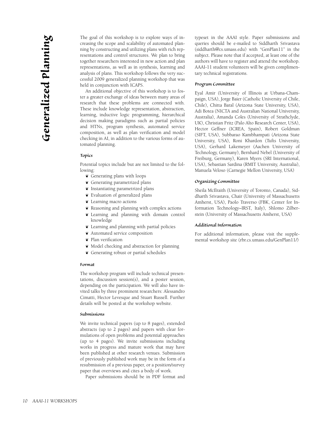The goal of this workshop is to explore ways of increasing the scope and scalability of automated planning by constructing and utilizing plans with rich representations and control structures. We plan to bring together researchers interested in new action and plan representations, as well as in synthesis, learning and analysis of plans. This workshop follows the very successful 2009 generalized planning workshop that was held in conjunction with ICAPS.

An additional objective of this workshop is to foster a greater exchange of ideas between many areas of research that these problems are connected with. These include knowledge representation, abstraction, learning, inductive logic programming, hierarchical decision making paradigms such as partial policies and HTNs, program synthesis, automated service composition, as well as plan verification and model checking in AI, in addition to the various forms of automated planning.

#### *Topics*

Potential topics include but are not limited to the following:

- ¶ Generating plans with loops
- ¶ Generating parametrized plans
- ¶ Instantiating parametrized plans
- ¶ Evaluation of generalized plans
- ¶ Learning macro actions
- ¶ Reasoning and planning with complex actions
- ¶ Learning and planning with domain control knowledge
- ¶ Learning and planning with partial policies
- ¶ Automated service composition
- ¶ Plan verification
- ¶ Model checking and abstraction for planning
- Generating robust or partial schedules

#### *Format*

The workshop program will include technical presentations, discussion session(s), and a poster session, depending on the participation. We will also have invited talks by three prominent researchers: Alessandro Cimatti, Hector Levesque and Stuart Russell. Further details will be posted at the workshop website.

## *Submissions*

We invite technical papers (up to 8 pages), extended abstracts (up to 2 pages) and papers with clear formulations of open problems and potential approaches (up to 4 pages). We invite submissions including works in progress and mature work that may have been published at other research venues. Submission of previously published work may be in the form of a resubmission of a previous paper, or a position/survey paper that overviews and cites a body of work.

Paper submissions should be in PDF format and

typeset in the AAAI style. Paper submissions and queries should be e-mailed to Siddharth Srivastava (siddharth@cs.umass.edu) with "GenPlan11" in the subject. Please note that if accepted, at least one of the authors will have to register and attend the workshop. AAAI-11 student volunteers will be given complimentary technical registrations.

#### *Program Committee*

Eyal Amir (University of Illinois at Urbana-Champaign, USA), Jorge Baier (Catholic University of Chile, Chile), Chitta Baral (Arizona State University, USA), Adi Botea (NICTA and Australian National University, Australia), Amanda Coles (University of Strathclyde, UK), Christian Fritz (Palo Alto Research Center, USA), Hector Geffner (ICREA, Spain), Robert Goldman (SIFT, USA), Subbarao Kambhampati (Arizona State University, USA), Roni Khardon (Tufts University, USA), Gerhard Lakemeyer (Aachen University of Technology, Germany), Bernhard Nebel (University of Freiburg, Germany), Karen Myers (SRI International, USA), Sebastian Sardina (RMIT University, Australia), Manuela Veloso (Carnegie Mellon University, USA)

#### *Organizing Committee*

Sheila McIlraith (University of Toronto, Canada), Siddharth Srivastava, Chair (University of Massachusetts Amherst, USA), Paolo Traverso (FBK, Center for Information Technology–IRST, Italy), Shlomo Zilberstein (University of Massachusetts Amherst, USA)

#### *Additional Information*

For additional information, please visit the supplemental workshop site (rbr.cs.umass.edu/GenPlan11/)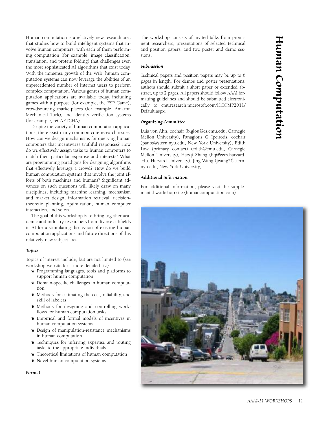Human computation is a relatively new research area that studies how to build intelligent systems that involve human computers, with each of them performing computation (for example, image classification, translation, and protein folding) that challenges even the most sophisticated AI algorithms that exist today. With the immense growth of the Web, human computation systems can now leverage the abilities of an unprecedented number of Internet users to perform complex computation. Various genres of human computation applications are available today, including games with a purpose (for example, the ESP Game), crowdsourcing marketplaces (for example, Amazon Mechanical Turk), and identity verification systems (for example, reCAPTCHA).

Despite the variety of human computation applications, there exist many common core research issues. How can we design mechanisms for querying human computers that incentivizes truthful responses? How do we effectively assign tasks to human computers to match their particular expertise and interests? What are programming paradigms for designing algorithms that effectively leverage a crowd? How do we build human computation systems that involve the joint efforts of both machines and humans? Significant advances on such questions will likely draw on many disciplines, including machine learning, mechanism and market design, information retrieval, decisiontheoretic planning, optimization, human computer interaction, and so on.

The goal of this workshop is to bring together academic and industry researchers from diverse subfields in AI for a stimulating discussion of existing human computation applications and future directions of this relatively new subject area.

## *Topics*

Topics of interest include, but are not limited to (see workshop website for a more detailed list):

- ¶ Programming languages, tools and platforms to support human computation
- ¶ Domain-specific challenges in human computation
- ¶ Methods for estimating the cost, reliability, and skill of labelers
- ¶ Methods for designing and controlling workflows for human computation tasks
- ¶ Empirical and formal models of incentives in human computation systems
- ¶ Design of manipulation-resistance mechanisms in human computation
- ¶ Techniques for inferring expertise and routing tasks to the appropriate individuals
- ¶ Theoretical limitations of human computation
- Novel human computation systems

*Format*

The workshop consists of invited talks from prominent researchers, presentations of selected technical and position papers, and two poster and demo sessions.

## *Submission*

Technical papers and position papers may be up to 6 pages in length. For demos and poster presentations, authors should submit a short paper or extended abstract, up to 2 pages. All papers should follow AAAI formatting guidelines and should be submitted electronically to cmt.research.microsoft.com/HCOMP2011/ Default.aspx.

# *Organizing Committee*

Luis von Ahn, cochair (biglou@cs.cmu.edu, Carnegie Mellon University), Panagiotis G Ipeirotis, cochair (panos@stern.nyu.edu, New York University), Edith Law (primary contact) (edith@cmu.edu, Carnegie Mellon University), Haoqi Zhang (hq@eecs.harvard. edu, Harvard University), Jing Wang (jwang5@stern. nyu.edu, New York University)

## *Additional Information*

For additional information, please visit the supplemental workshop site (humancomputation.com)

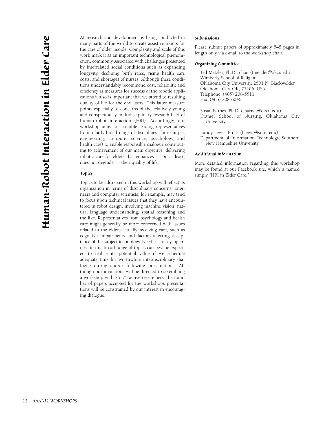AI research and development is being conducted in many parts of the world to create assistive robots for the care of older people. Complexity and scale of this work mark it as an important technological phenomenon, commonly associated with challenges presented by interrelated social conditions such as expanding longevity, declining birth rates, rising health care costs, and shortages of nurses. Although these conditions understandably recommend cost, reliability, and efficiency as measures for success of the robotic applications it also is important that we attend to resulting quality of life for the end users. This latter measure points especially to concerns of the relatively young and conspicuously multidisciplinary research field of human-robot interaction (HRI). Accordingly, our workshop aims to assemble leading representatives from a fairly broad range of disciplines (for example, engineering, computer science, psychology, and health care) to enable responsible dialogue contributing to achievement of our main objective: delivering robotic care for elders that enhances — or, at least, does not degrade — their quality of life.

## *Topics*

Topics to be addressed in this workshop will reflect its organization in terms of disciplinary concerns. Engineers and computer scientists, for example, may tend to focus upon technical issues that they have encountered in robot design, involving machine vision, natural language understanding, spatial reasoning and the like. Representatives from psychology and health care might generally be more concerned with issues related to the elders actually receiving care, such as cognitive impairments and factors affecting acceptance of the subject technology. Needless to say, openness to this broad range of topics can best be expected to realize its potential value if we schedule adequate time for worthwhile interdisciplinary dialogue during and/or following presentations. Although our invitations will be directed to assembling a workshop with 25–75 active researchers, the number of papers accepted for the workshop's presentations will be constrained by our interest in encouraging dialogue.

#### *Submissions*

Please submit papers of approximately 5–8 pages in length only via e-mail to the workshop chair.

### *Organizing Committee*

Ted Metzler, Ph.D., chair (tmetzler@okcu.edu) Wimberly School of Religion Oklahoma City University, 2501 N. Blackwelder Oklahoma City, OK, 73106, USA Telephone: (405) 208-5511 Fax: (405) 208-6046

Susan Barnes, Ph.D. (sbarnes@okcu.edu) Kramer School of Nursing, Oklahoma City University

Lundy Lewis, Ph.D. (l.lewis@snhu.edu) Department of Information Technology, Southern New Hampshire University

## *Additional Information*

More detailed information regarding this workshop may be found at our Facebook site, which is named simply "HRI in Elder Care."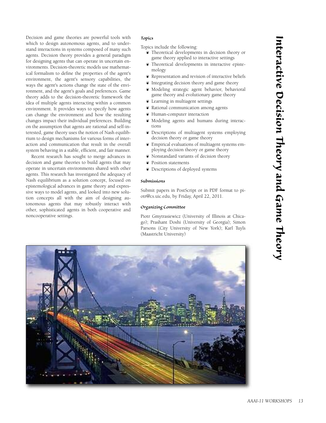Decision and game theories are powerful tools with which to design autonomous agents, and to understand interactions in systems composed of many such agents. Decision theory provides a general paradigm for designing agents that can operate in uncertain environments. Decision-theoretic models use mathematical formalism to define the properties of the agent's environment, the agent's sensory capabilities, the ways the agent's actions change the state of the environment, and the agent's goals and preferences. Game theory adds to the decision-theoretic framework the idea of multiple agents interacting within a common environment. It provides ways to specify how agents can change the environment and how the resulting changes impact their individual preferences. Building on the assumption that agents are rational and self-interested, game theory uses the notion of Nash equilibrium to design mechanisms for various forms of interaction and communication that result in the overall system behaving in a stable, efficient, and fair manner.

Recent research has sought to merge advances in decision and game theories to build agents that may operate in uncertain environments shared with other agents. This research has investigated the adequacy of Nash equilibrium as a solution concept, focused on epistemological advances in game theory and expressive ways to model agents, and looked into new solution concepts all with the aim of designing autonomous agents that may robustly interact with other, sophisticated agents in both cooperative and noncooperative settings.

## *Topics*

Topics include the following:

- ¶ Theoretical developments in decision theory or game theory applied to interactive settings
- ¶ Theoretical developments in interactive epistemology
- ¶ Representation and revision of interactive beliefs
- ¶ Integrating decision theory and game theory
- ¶ Modeling strategic agent behavior, behavioral game theory and evolutionary game theory
- ¶ Learning in multiagent settings
- ¶ Rational communication among agents
- ¶ Human-computer interaction
- ¶ Modeling agents and humans during interactions
- ¶ Descriptions of multiagent systems employing decision theory or game theory
- ¶ Empirical evaluations of multiagent systems employing decision theory or game theory
- ¶ Nonstandard variants of decision theory
- ¶ Position statements
- ¶ Descriptions of deployed systems

#### *Submissions*

Submit papers in PostScript or in PDF format to piotr@cs.uic.edu, by Friday, April 22, 2011.

## *Organizing Committee*

Piotr Gmytrasiewicz (University of Illinois at Chicago); Prashant Doshi (University of Georgia); Simon Parsons (City University of New York); Karl Tuyls (Maastricht University)

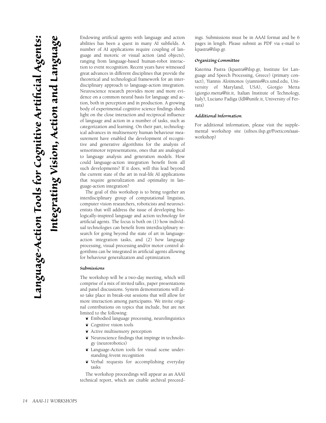Endowing artificial agents with language and action abilities has been a quest in many AI subfields. A number of AI applications require coupling of language and motoric or visual action (and objects), ranging from language-based human-robot interaction to event recognition. Recent years have witnessed great advances in different disciplines that provide the theoretical and technological framework for an interdisciplinary approach to language-action integration. Neuroscience research provides more and more evidence on a common neural basis for language and action, both in perception and in production. A growing body of experimental cognitive science findings sheds light on the close interaction and reciprocal influence of language and action in a number of tasks, such as categorization and learning. On their part, technological advances in multisensory human behaviour measurement have enabled the development of recognitive and generative algorithms for the analysis of sensorimotor representations, ones that are analogical to language analysis and generation models. How could language-action integration benefit from all such developments? If it does, will this lead beyond the current state of the art in real-life AI applications that require generalization and optimality in language-action integration?

The goal of this workshop is to bring together an interdisciplinary group of computational linguists, computer vision researchers, roboticists and neuroscientists that will address the issue of developing biologically-inspired language and action technology for artificial agents. The focus is both on (1) how individual technologies can benefit from interdisciplinary research for going beyond the state of art in languageaction integration tasks, and (2) how language processing, visual processing and/or motor control algorithms can be integrated in artificial agents allowing for behaviour generalization and optimization.

#### *Submissions*

The workshop will be a two-day meeting, which will comprise of a mix of invited talks, paper presentations and panel discussions. System demonstrations will also take place in break-out sessions that will allow for more interaction among participants. We invite original contributions on topics that include, but are not limited to the following:

- ¶ Embodied language processing, neurolinguistics
- ¶ Cognitive vision tools
- ¶ Active multisensory perception
- ¶ Neuroscience findings that impinge in technology (neurorobotics)
- Language-Action tools for visual scene understanding /event recognition
- ¶ Verbal requests for accomplishing everyday tasks

The workshop proceedings will appear as an AAAI technical report, which are citable archival proceedings. Submissions must be in AAAI format and be 6 pages in length. Please submit as PDF via e-mail to kpastra@ilsp.gr.

#### *Organizing Committee*

Katerina Pastra (kpastra@ilsp.gr, Institute for Language and Speech Processing, Greece) (primary contact), Yiannis Aloimonos (yiannis@cs.umd.edu, University of Maryland, USA), Giorgio Metta (giorgio.metta@iit.it, Italian Institute of Technology, Italy), Luciano Fadiga (fdl@unife.it, University of Ferrara)

#### *Additional Information*

For additional information, please visit the supplemental workshop site (sifnos.ilsp.gr/Poeticon/aaaiworkshop)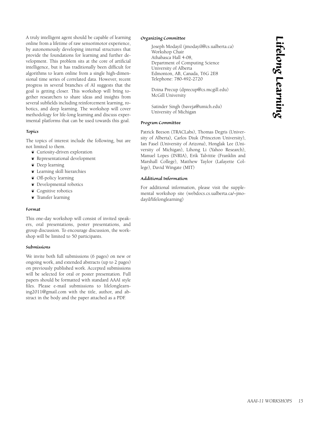*L ife l o ng L e* <u>نم</u> *r n i ng*

A truly intelligent agent should be capable of learning online from a lifetime of raw sensorimotor experience, by autonomously developing internal structures that provide the foundations for learning and further development. This problem sits at the core of artificial intelligence, but it has traditionally been difficult for algorithms to learn online from a single high-dimensional time series of correlated data. However, recent progress in several branches of AI suggests that the goal is getting closer. This workshop will bring together researchers to share ideas and insights from several subfields including reinforcement learning, robotics, and deep learning. The workshop will cover methodology for life-long learning and discuss experimental platforms that can be used towards this goal.

## *Topics*

The topics of interest include the following, but are not limited to them.

- ¶ Curiosity-driven exploration
- ¶ Representational development
- ¶ Deep learning
- ¶ Learning skill hierarchies
- ¶ Off-policy learning
- ¶ Developmental robotics
- ¶ Cognitive robotics
- ¶ Transfer learning

## *Format*

This one-day workshop will consist of invited speakers, oral presentations, poster presentations, and group discussion. To encourage discussion, the workshop will be limited to 50 participants.

## *Submissions*

We invite both full submissions (6 pages) on new or ongoing work, and extended abstracts (up to 2 pages) on previously published work. Accepted submissions will be selected for oral or poster presentation. Full papers should be formatted with standard AAAI style files. Please e-mail submissions to lifelonglearning2011@gmail.com with the title, author, and abstract in the body and the paper attached as a PDF.

## *Organizing Committee*

Joseph Modayil (jmodayil@cs.ualberta.ca) Workshop Chair Athabasca Hall 4-08, Department of Computing Science University of Alberta Edmonton, AB, Canada, T6G 2E8 Telephone: 780-492-2720

Doina Precup (dprecup@cs.mcgill.edu) McGill University

Satinder Singh (baveja@umich.edu) University of Michigan

## *Program Committee*

Patrick Beeson (TRACLabs), Thomas Degris (University of Alberta), Carlos Diuk (Princeton University), Ian Fasel (University of Arizona), Honglak Lee (University of Michigan), Lihong Li (Yahoo Research), Manuel Lopes (INRIA), Erik Talvittie (Franklin and Marshall College), Matthew Taylor (Lafayette College), David Wingate (MIT)

## *Additional Information*

For additional information, please visit the supplemental workshop site (webdocs.cs.ualberta.ca/~jmodayil/lifelonglearning)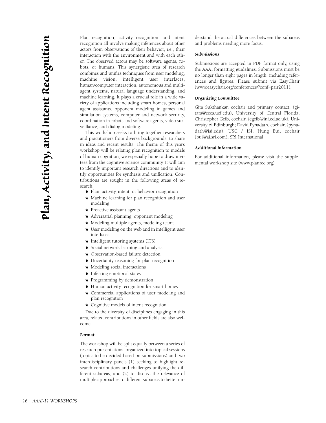Plan recognition, activity recognition, and intent recognition all involve making inferences about other actors from observations of their behavior, i.e., their interaction with the environment and with each other. The observed actors may be software agents, robots, or humans. This synergistic area of research combines and unifies techniques from user modeling, machine vision, intelligent user interfaces, human/computer interaction, autonomous and multiagent systems, natural language understanding, and machine learning. It plays a crucial role in a wide variety of applications including smart homes, personal agent assistants, opponent modeling in games and simulation systems, computer and network security, coordination in robots and software agents, video surveillance, and dialog modeling.

This workshop seeks to bring together researchers and practitioners from diverse backgrounds, to share in ideas and recent results. The theme of this year's workshop will be relating plan recognition to models of human cognition; we especially hope to draw invitees from the cognitive science community. It will aim to identify important research directions and to identify opportunities for synthesis and unification. Contributions are sought in the following areas of research.

¶ Plan, activity, intent, or behavior recognition

- ¶ Machine learning for plan recognition and user modeling
- ¶ Proactive assistant agents
- ¶ Adversarial planning, opponent modeling
- ¶ Modeling multiple agents, modeling teams
- ¶ User modeling on the web and in intelligent user interfaces
- ¶ Intelligent tutoring systems (ITS)
- ¶ Social network learning and analysis
- ¶ Observation-based failure detection
- ¶ Uncertainty reasoning for plan recognition
- ¶ Modeling social interactions
- ¶ Inferring emotional states
- ¶ Programming by demonstration
- ¶ Human activity recognition for smart homes
- ¶ Commercial applications of user modeling and plan recognition
- ¶ Cognitive models of intent recognition

Due to the diversity of disciplines engaging in this area, related contributions in other fields are also welcome.

#### *Format*

The workshop will be split equally between a series of research presentations, organized into topical sessions (topics to be decided based on submissions) and two interdisciplinary panels (1) seeking to highlight research contributions and challenges unifying the different subareas, and (2) to discuss the relevance of multiple approaches to different subareas to better understand the actual differences between the subareas and problems needing more focus.

## *Submissions*

Submissions are accepted in PDF format only, using the AAAI formatting guidelines. Submissions must be no longer than eight pages in length, including references and figures. Please submit via EasyChair (www.easychair.org/conferences/?conf=pair2011).

## *Organizing Committee*

Gita Sukthankar, cochair and primary contact, (gitars@eecs.ucf.edu), University of Central Florida; Christopher Geib, cochair, (cgeib@inf.ed.ac.uk), University of Edinburgh; David Pynadath, cochair, (pynadath@isi.edu), USC / ISI; Hung Bui, cochair (bui@ai.sri.com), SRI International

## *Additional Information*

For additional information, please visit the supplemental workshop site (www.planrec.org)